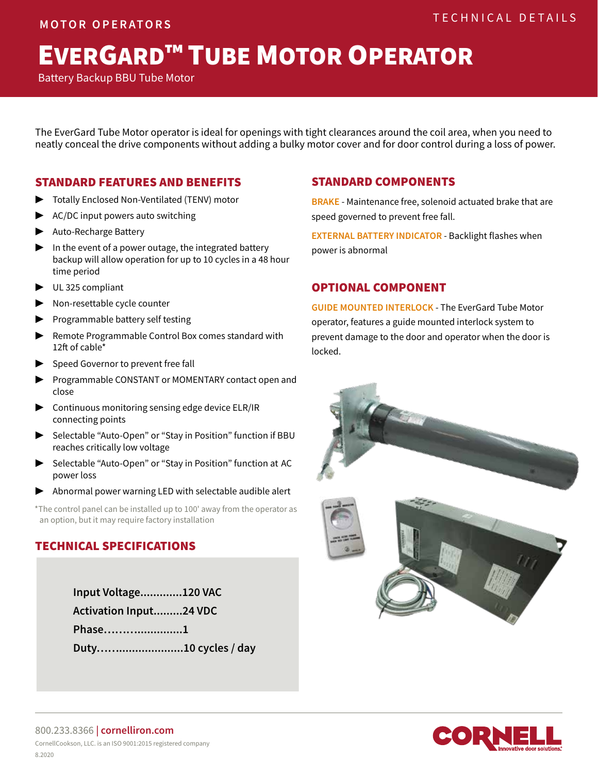# EVERGARD™ TUBE MOTOR OPERATOR

Battery Backup BBU Tube Motor

The EverGard Tube Motor operator is ideal for openings with tight clearances around the coil area, when you need to neatly conceal the drive components without adding a bulky motor cover and for door control during a loss of power.

#### STANDARD FEATURES AND BENEFITS

- Totally Enclosed Non-Ventilated (TENV) motor
- AC/DC input powers auto switching
- ▶ Auto-Recharge Battery
- In the event of a power outage, the integrated battery backup will allow operation for up to 10 cycles in a 48 hour time period
- ▶ UL 325 compliant
- ▶ Non-resettable cycle counter
- ▶ Programmable battery self testing
- ▶ Remote Programmable Control Box comes standard with 12ft of cable\*
- Speed Governor to prevent free fall
- ▶ Programmable CONSTANT or MOMENTARY contact open and close
- ▶ Continuous monitoring sensing edge device ELR/IR connecting points
- ▶ Selectable "Auto-Open" or "Stay in Position" function if BBU reaches critically low voltage
- Selectable "Auto-Open" or "Stay in Position" function at AC power loss
- Abnormal power warning LED with selectable audible alert

\*The control panel can be installed up to 100' away from the operator as an option, but it may require factory installation

#### TECHNICAL SPECIFICATIONS

**Input Voltage.............120 VAC Activation Input.........24 VDC Phase………..............1 Duty……....................10 cycles / day**

#### STANDARD COMPONENTS

**BRAKE** - Maintenance free, solenoid actuated brake that are speed governed to prevent free fall.

**EXTERNAL BATTERY INDICATOR** - Backlight flashes when power is abnormal

#### OPTIONAL COMPONENT

**GUIDE MOUNTED INTERLOCK** - The EverGard Tube Motor operator, features a guide mounted interlock system to prevent damage to the door and operator when the door is locked.